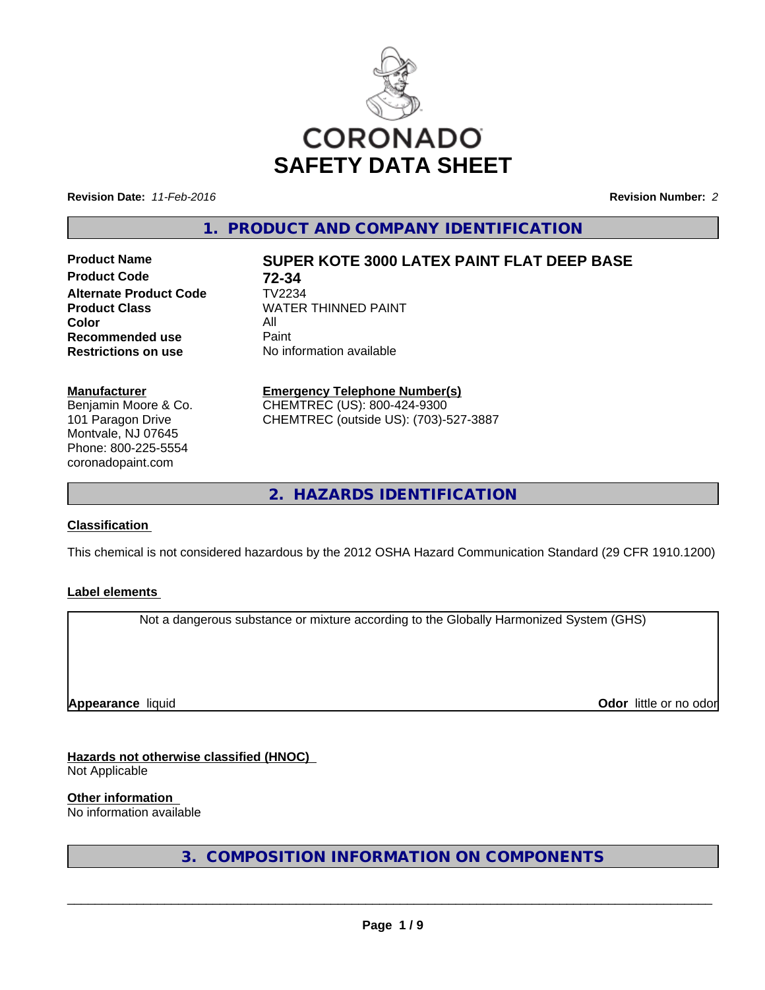

**Revision Date:** *11-Feb-2016* **Revision Number:** *2*

**1. PRODUCT AND COMPANY IDENTIFICATION**

**Product Code 72-34 Alternate Product Code** TV2234 **Color Recommended use** Paint<br> **Restrictions on use** No inf

# **Product Name SUPER KOTE 3000 LATEX PAINT FLAT DEEP BASE**

**Product Class** WATER THINNED PAINT<br>Color **No information available** 

#### **Manufacturer**

Benjamin Moore & Co. 101 Paragon Drive Montvale, NJ 07645 Phone: 800-225-5554 coronadopaint.com

## **Emergency Telephone Number(s)**

CHEMTREC (US): 800-424-9300 CHEMTREC (outside US): (703)-527-3887

**2. HAZARDS IDENTIFICATION**

## **Classification**

This chemical is not considered hazardous by the 2012 OSHA Hazard Communication Standard (29 CFR 1910.1200)

#### **Label elements**

Not a dangerous substance or mixture according to the Globally Harmonized System (GHS)

**Appearance** liquid

**Odor** little or no odor

**Hazards not otherwise classified (HNOC)** Not Applicable

**Other information**

No information available

**3. COMPOSITION INFORMATION ON COMPONENTS**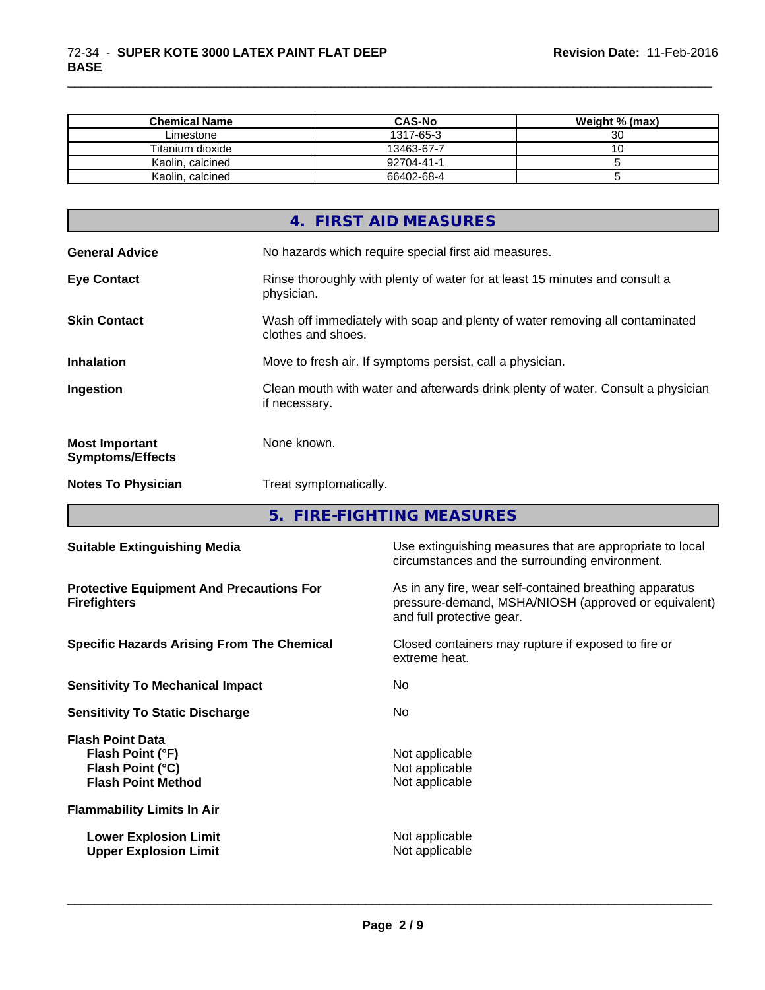| <b>Chemical Name</b> | <b>CAS-No</b> | Weight % (max) |
|----------------------|---------------|----------------|
| Limestone            | 1317-65-3     | 30             |
| Titanium dioxide     | 13463-67-7    |                |
| Kaolin, calcined     | 92704-41-1    |                |
| Kaolin, calcined     | 66402-68-4    |                |

\_\_\_\_\_\_\_\_\_\_\_\_\_\_\_\_\_\_\_\_\_\_\_\_\_\_\_\_\_\_\_\_\_\_\_\_\_\_\_\_\_\_\_\_\_\_\_\_\_\_\_\_\_\_\_\_\_\_\_\_\_\_\_\_\_\_\_\_\_\_\_\_\_\_\_\_\_\_\_\_\_\_\_\_\_\_\_\_\_\_\_\_\_

|                                                  | 4. FIRST AID MEASURES                                                                              |
|--------------------------------------------------|----------------------------------------------------------------------------------------------------|
| <b>General Advice</b>                            | No hazards which require special first aid measures.                                               |
| <b>Eye Contact</b>                               | Rinse thoroughly with plenty of water for at least 15 minutes and consult a<br>physician.          |
| <b>Skin Contact</b>                              | Wash off immediately with soap and plenty of water removing all contaminated<br>clothes and shoes. |
| <b>Inhalation</b>                                | Move to fresh air. If symptoms persist, call a physician.                                          |
| Ingestion                                        | Clean mouth with water and afterwards drink plenty of water. Consult a physician<br>if necessary.  |
| <b>Most Important</b><br><b>Symptoms/Effects</b> | None known.                                                                                        |
| <b>Notes To Physician</b>                        | Treat symptomatically.                                                                             |
|                                                  |                                                                                                    |

**5. FIRE-FIGHTING MEASURES**

| <b>Suitable Extinguishing Media</b>                                                          | Use extinguishing measures that are appropriate to local<br>circumstances and the surrounding environment.                                   |
|----------------------------------------------------------------------------------------------|----------------------------------------------------------------------------------------------------------------------------------------------|
| <b>Protective Equipment And Precautions For</b><br><b>Firefighters</b>                       | As in any fire, wear self-contained breathing apparatus<br>pressure-demand, MSHA/NIOSH (approved or equivalent)<br>and full protective gear. |
| <b>Specific Hazards Arising From The Chemical</b>                                            | Closed containers may rupture if exposed to fire or<br>extreme heat.                                                                         |
| <b>Sensitivity To Mechanical Impact</b>                                                      | No.                                                                                                                                          |
| <b>Sensitivity To Static Discharge</b>                                                       | No.                                                                                                                                          |
| <b>Flash Point Data</b><br>Flash Point (°F)<br>Flash Point (°C)<br><b>Flash Point Method</b> | Not applicable<br>Not applicable<br>Not applicable                                                                                           |
| <b>Flammability Limits In Air</b>                                                            |                                                                                                                                              |
| <b>Lower Explosion Limit</b><br><b>Upper Explosion Limit</b>                                 | Not applicable<br>Not applicable                                                                                                             |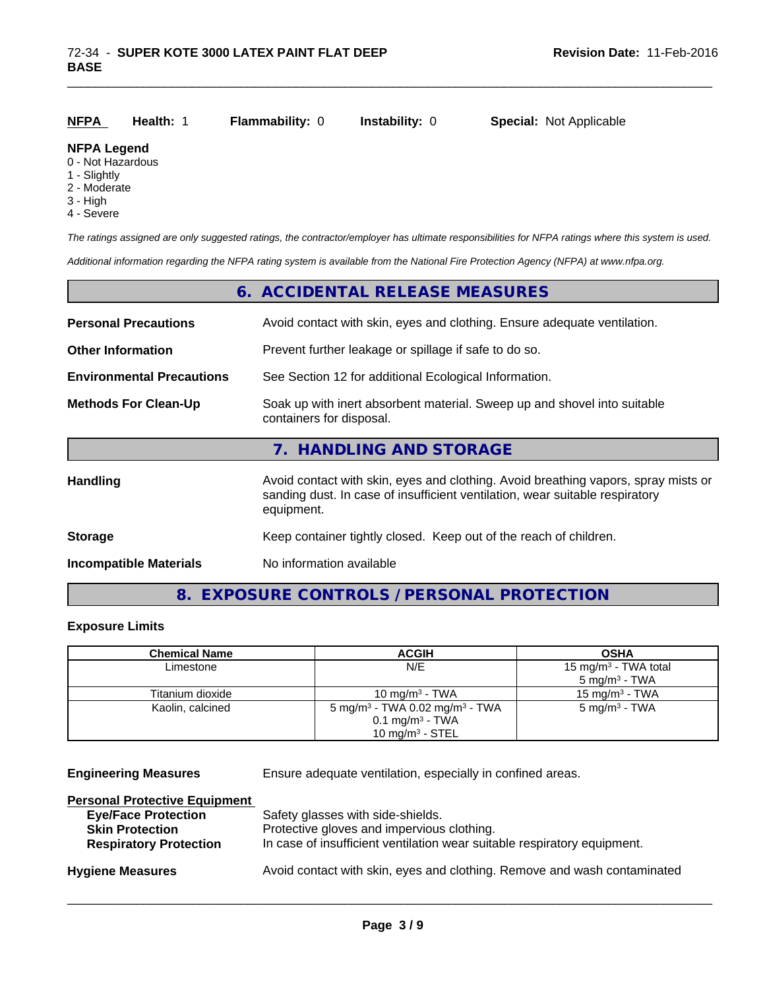| <b>NFPA</b> | <b>Health:</b> 1 | <b>Flammability: 0</b> | <b>Instability: 0</b> | <b>Special: Not Applicable</b> |
|-------------|------------------|------------------------|-----------------------|--------------------------------|
|             |                  |                        |                       |                                |

#### **NFPA Legend**

- 0 Not Hazardous
- 1 Slightly
- 2 Moderate
- 3 High
- 4 Severe

*The ratings assigned are only suggested ratings, the contractor/employer has ultimate responsibilities for NFPA ratings where this system is used.*

*Additional information regarding the NFPA rating system is available from the National Fire Protection Agency (NFPA) at www.nfpa.org.*

|                                  | 6. ACCIDENTAL RELEASE MEASURES                                                                                                                                                   |
|----------------------------------|----------------------------------------------------------------------------------------------------------------------------------------------------------------------------------|
| <b>Personal Precautions</b>      | Avoid contact with skin, eyes and clothing. Ensure adequate ventilation.                                                                                                         |
| <b>Other Information</b>         | Prevent further leakage or spillage if safe to do so.                                                                                                                            |
| <b>Environmental Precautions</b> | See Section 12 for additional Ecological Information.                                                                                                                            |
| <b>Methods For Clean-Up</b>      | Soak up with inert absorbent material. Sweep up and shovel into suitable<br>containers for disposal.                                                                             |
|                                  | 7. HANDLING AND STORAGE                                                                                                                                                          |
| <b>Handling</b>                  | Avoid contact with skin, eyes and clothing. Avoid breathing vapors, spray mists or<br>sanding dust. In case of insufficient ventilation, wear suitable respiratory<br>equipment. |
| <b>Storage</b>                   | Keep container tightly closed. Keep out of the reach of children.                                                                                                                |
| <b>Incompatible Materials</b>    | No information available                                                                                                                                                         |

# **8. EXPOSURE CONTROLS / PERSONAL PROTECTION**

## **Exposure Limits**

| <b>Chemical Name</b> | <b>ACGIH</b>                                                                         | <b>OSHA</b>                      |
|----------------------|--------------------------------------------------------------------------------------|----------------------------------|
| Limestone            | N/E                                                                                  | 15 mg/m <sup>3</sup> - TWA total |
|                      |                                                                                      | $5 \text{ mg/m}^3$ - TWA         |
| Titanium dioxide     | 10 mg/m $3$ - TWA                                                                    | 15 mg/m $3$ - TWA                |
| Kaolin, calcined     | 5 mg/m <sup>3</sup> - TWA 0.02 mg/m <sup>3</sup> - TWA<br>$0.1 \text{ mg/m}^3$ - TWA | $5 \text{ mg/m}^3$ - TWA         |
|                      | 10 mg/m $3$ - STEL                                                                   |                                  |

**Engineering Measures** Ensure adequate ventilation, especially in confined areas.

 $\overline{\phantom{a}}$  ,  $\overline{\phantom{a}}$  ,  $\overline{\phantom{a}}$  ,  $\overline{\phantom{a}}$  ,  $\overline{\phantom{a}}$  ,  $\overline{\phantom{a}}$  ,  $\overline{\phantom{a}}$  ,  $\overline{\phantom{a}}$  ,  $\overline{\phantom{a}}$  ,  $\overline{\phantom{a}}$  ,  $\overline{\phantom{a}}$  ,  $\overline{\phantom{a}}$  ,  $\overline{\phantom{a}}$  ,  $\overline{\phantom{a}}$  ,  $\overline{\phantom{a}}$  ,  $\overline{\phantom{a}}$ 

#### **Personal Protective Equipment**

| <b>Eye/Face Protection</b>    | Safety glasses with side-shields.                                        |
|-------------------------------|--------------------------------------------------------------------------|
| <b>Skin Protection</b>        | Protective gloves and impervious clothing.                               |
| <b>Respiratory Protection</b> | In case of insufficient ventilation wear suitable respiratory equipment. |
| <b>Hygiene Measures</b>       | Avoid contact with skin, eyes and clothing. Remove and wash contaminated |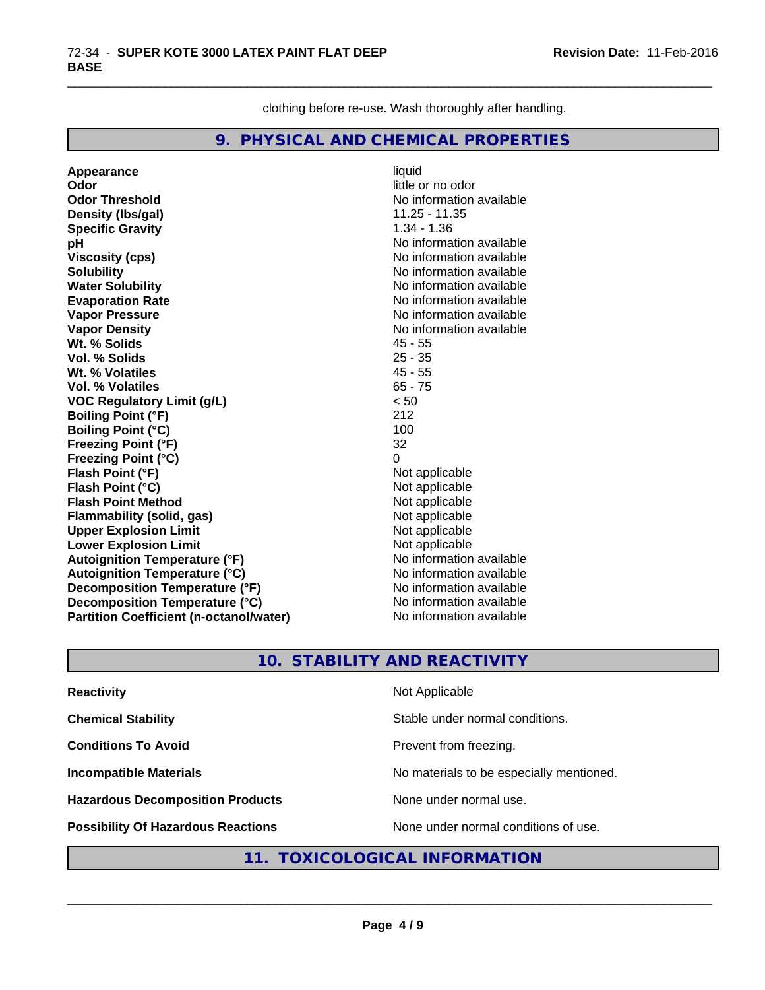clothing before re-use. Wash thoroughly after handling.

\_\_\_\_\_\_\_\_\_\_\_\_\_\_\_\_\_\_\_\_\_\_\_\_\_\_\_\_\_\_\_\_\_\_\_\_\_\_\_\_\_\_\_\_\_\_\_\_\_\_\_\_\_\_\_\_\_\_\_\_\_\_\_\_\_\_\_\_\_\_\_\_\_\_\_\_\_\_\_\_\_\_\_\_\_\_\_\_\_\_\_\_\_

## **9. PHYSICAL AND CHEMICAL PROPERTIES**

**Appearance** liquid **Odor**<br> **Odor Threshold**<br> **Odor Threshold**<br> **Odor Threshold**<br> **Odor Density (lbs/gal)** 11.25 - 11.35 **Specific Gravity** 1.34 - 1.36 **pH pH**  $\blacksquare$ **Viscosity (cps)** No information available Notice 1, 1999 **Solubility** No information available **Water Solubility No information available No information available Evaporation Rate** Note 2008 and 2009 and 2009 and 2009 and 2009 and 2009 and 2009 and 2009 and 2009 and 2009 and 2009 and 2009 and 2009 and 2009 and 2009 and 2009 and 2009 and 2009 and 2009 and 2009 and 2009 and 2009 and **Vapor Pressure** No information available **Vapor Density No information available No information available Wt. % Solids** 45 - 55 **Vol. % Solids Wt. % Volatiles** 45 - 55 **Vol. % Volatiles** 65 - 75 **VOC Regulatory Limit (g/L)** < 50 **Boiling Point (°F)** 212 **Boiling Point (°C)** 100 **Freezing Point (°F)** 32 **Freezing Point (°C)** 0 **Flash Point (°F)** Not applicable **Flash Point (°C)**<br> **Flash Point Method**<br> **Flash Point Method**<br> **Point Method**<br> **Point Method**<br> **Point Method Flash Point Method**<br> **Flammability (solid, gas)** Not applicable Not applicable **Flammability** (solid, gas) **Upper Explosion Limit** Not applicable **Lower Explosion Limit**<br> **Autoignition Temperature (°F)**<br> **Autoignition Temperature (°F)**<br> **Autoignition Temperature (°F) Autoignition Temperature (°F) Autoignition Temperature (°C)** No information available **Decomposition Temperature (°F)** No information available **Decomposition Temperature (°C)** No information available **Partition Coefficient (n-octanol/water)** No information available

**No information available** 

## **10. STABILITY AND REACTIVITY**

| <b>Reactivity</b>                         | Not Applicable                           |
|-------------------------------------------|------------------------------------------|
| <b>Chemical Stability</b>                 | Stable under normal conditions.          |
| <b>Conditions To Avoid</b>                | Prevent from freezing.                   |
| <b>Incompatible Materials</b>             | No materials to be especially mentioned. |
| <b>Hazardous Decomposition Products</b>   | None under normal use.                   |
| <b>Possibility Of Hazardous Reactions</b> | None under normal conditions of use.     |

## **11. TOXICOLOGICAL INFORMATION**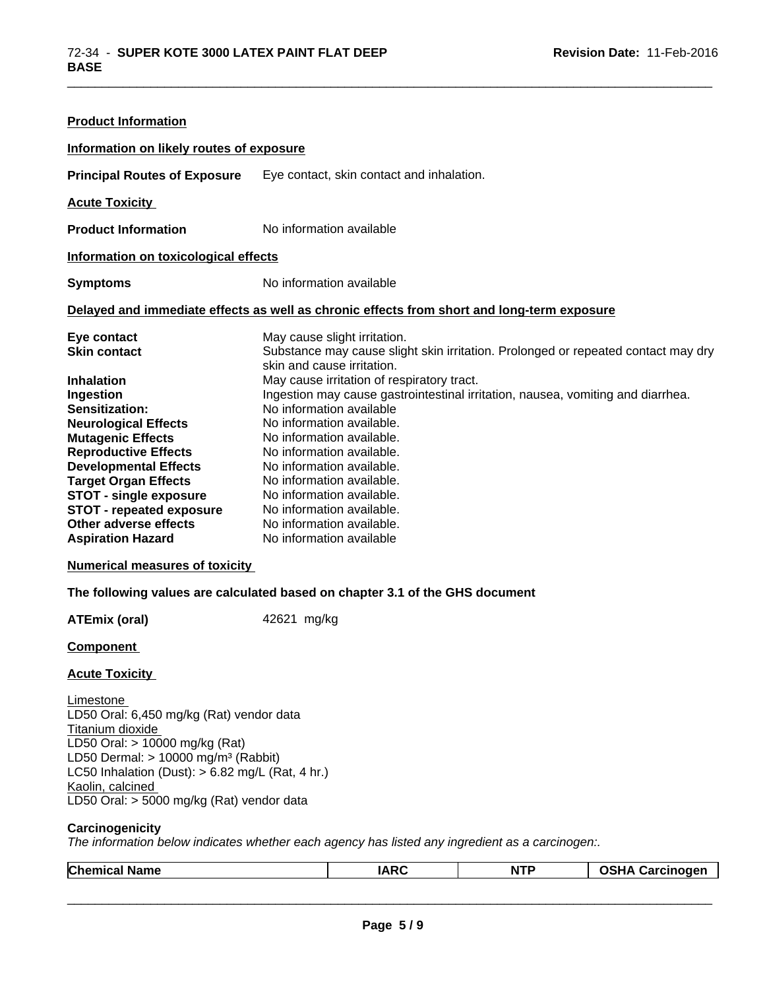| <b>Product Information</b>               |                                                                                                                 |
|------------------------------------------|-----------------------------------------------------------------------------------------------------------------|
| Information on likely routes of exposure |                                                                                                                 |
| <b>Principal Routes of Exposure</b>      | Eye contact, skin contact and inhalation.                                                                       |
| <b>Acute Toxicity</b>                    |                                                                                                                 |
| <b>Product Information</b>               | No information available                                                                                        |
| Information on toxicological effects     |                                                                                                                 |
| <b>Symptoms</b>                          | No information available                                                                                        |
|                                          | Delayed and immediate effects as well as chronic effects from short and long-term exposure                      |
| Eye contact                              | May cause slight irritation.                                                                                    |
| <b>Skin contact</b>                      | Substance may cause slight skin irritation. Prolonged or repeated contact may dry<br>skin and cause irritation. |
| <b>Inhalation</b>                        | May cause irritation of respiratory tract.                                                                      |
| Ingestion                                | Ingestion may cause gastrointestinal irritation, nausea, vomiting and diarrhea.                                 |
| Sensitization:                           | No information available                                                                                        |
| <b>Neurological Effects</b>              | No information available.                                                                                       |
| <b>Mutagenic Effects</b>                 | No information available.                                                                                       |
| <b>Reproductive Effects</b>              | No information available.                                                                                       |
| <b>Developmental Effects</b>             | No information available.                                                                                       |
| <b>Target Organ Effects</b>              | No information available.                                                                                       |
| <b>STOT - single exposure</b>            | No information available.                                                                                       |
| <b>STOT - repeated exposure</b>          | No information available.                                                                                       |
| Other adverse effects                    | No information available.                                                                                       |
| <b>Aspiration Hazard</b>                 | No information available                                                                                        |
| <b>Numerical measures of toxicity</b>    |                                                                                                                 |
|                                          | The fellowing values are extended to sed on about 10.4 of the OUO design                                        |

\_\_\_\_\_\_\_\_\_\_\_\_\_\_\_\_\_\_\_\_\_\_\_\_\_\_\_\_\_\_\_\_\_\_\_\_\_\_\_\_\_\_\_\_\_\_\_\_\_\_\_\_\_\_\_\_\_\_\_\_\_\_\_\_\_\_\_\_\_\_\_\_\_\_\_\_\_\_\_\_\_\_\_\_\_\_\_\_\_\_\_\_\_

# **The following values are calculated based on chapter 3.1 of the GHS document**

**ATEmix (oral)** 42621 mg/kg

**Component** 

#### **Acute Toxicity**

Limestone LD50 Oral: 6,450 mg/kg (Rat) vendor data Titanium dioxide LD50 Oral: > 10000 mg/kg (Rat) LD50 Dermal:  $> 10000$  mg/m<sup>3</sup> (Rabbit) LC50 Inhalation (Dust):  $> 6.82$  mg/L (Rat, 4 hr.) Kaolin, calcined LD50 Oral: > 5000 mg/kg (Rat) vendor data

#### **Carcinogenicity**

*The information below indicateswhether each agency has listed any ingredient as a carcinogen:.*

|  | <b>Chem</b><br>Name<br>וו | $\mathbf{A}$ | . .<br>M<br>. | noaen<br>-<br>un.<br>.<br>. . |
|--|---------------------------|--------------|---------------|-------------------------------|
|--|---------------------------|--------------|---------------|-------------------------------|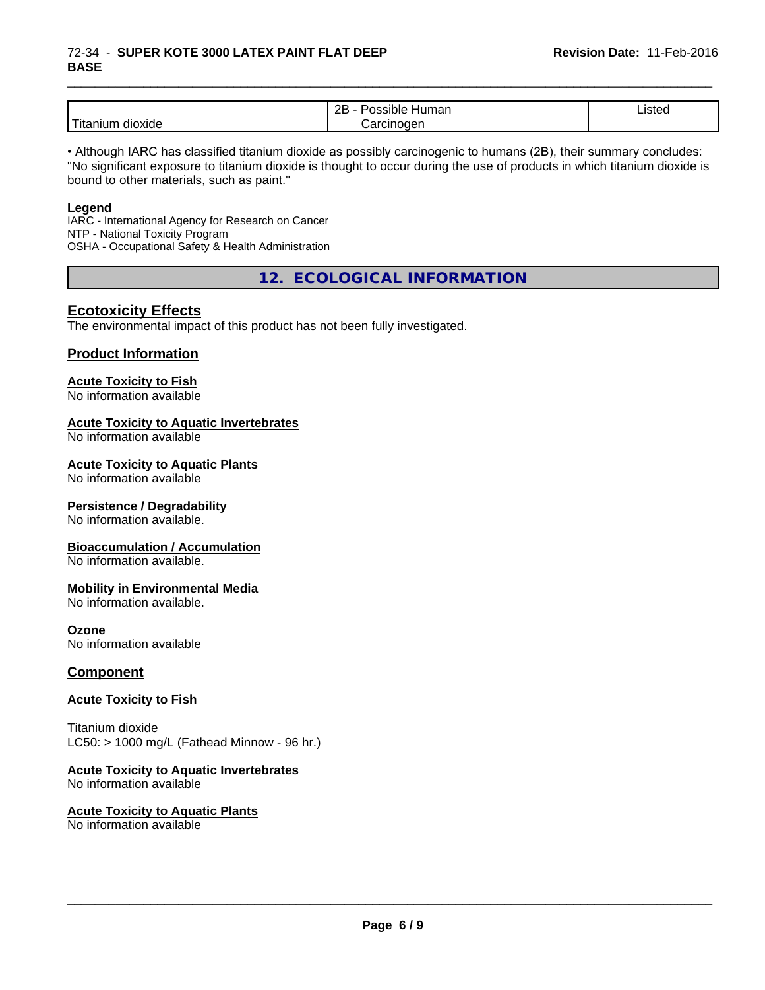### 72-34 - **SUPER KOTE 3000 LATEX PAINT FLAT DEEP BASE**

|                            | ם ה<br>-<br>⊣umar<br>`sıble′<br>. .<br><br>ᅩ | $\cdot$<br>Listed |  |
|----------------------------|----------------------------------------------|-------------------|--|
| .<br>dioxide<br>. Hitaniur | ∴arcınoαer                                   |                   |  |

\_\_\_\_\_\_\_\_\_\_\_\_\_\_\_\_\_\_\_\_\_\_\_\_\_\_\_\_\_\_\_\_\_\_\_\_\_\_\_\_\_\_\_\_\_\_\_\_\_\_\_\_\_\_\_\_\_\_\_\_\_\_\_\_\_\_\_\_\_\_\_\_\_\_\_\_\_\_\_\_\_\_\_\_\_\_\_\_\_\_\_\_\_

• Although IARC has classified titanium dioxide as possibly carcinogenic to humans (2B), their summary concludes: "No significant exposure to titanium dioxide is thought to occur during the use of products in which titanium dioxide is bound to other materials, such as paint."

#### **Legend**

IARC - International Agency for Research on Cancer NTP - National Toxicity Program OSHA - Occupational Safety & Health Administration

**12. ECOLOGICAL INFORMATION**

## **Ecotoxicity Effects**

The environmental impact of this product has not been fully investigated.

## **Product Information**

#### **Acute Toxicity to Fish**

No information available

#### **Acute Toxicity to Aquatic Invertebrates**

No information available

#### **Acute Toxicity to Aquatic Plants**

No information available

#### **Persistence / Degradability**

No information available.

#### **Bioaccumulation / Accumulation**

No information available.

#### **Mobility in Environmental Media**

No information available.

#### **Ozone**

No information available

## **Component**

#### **Acute Toxicity to Fish**

Titanium dioxide  $LC50:$  > 1000 mg/L (Fathead Minnow - 96 hr.)

## **Acute Toxicity to Aquatic Invertebrates**

No information available

#### **Acute Toxicity to Aquatic Plants** No information available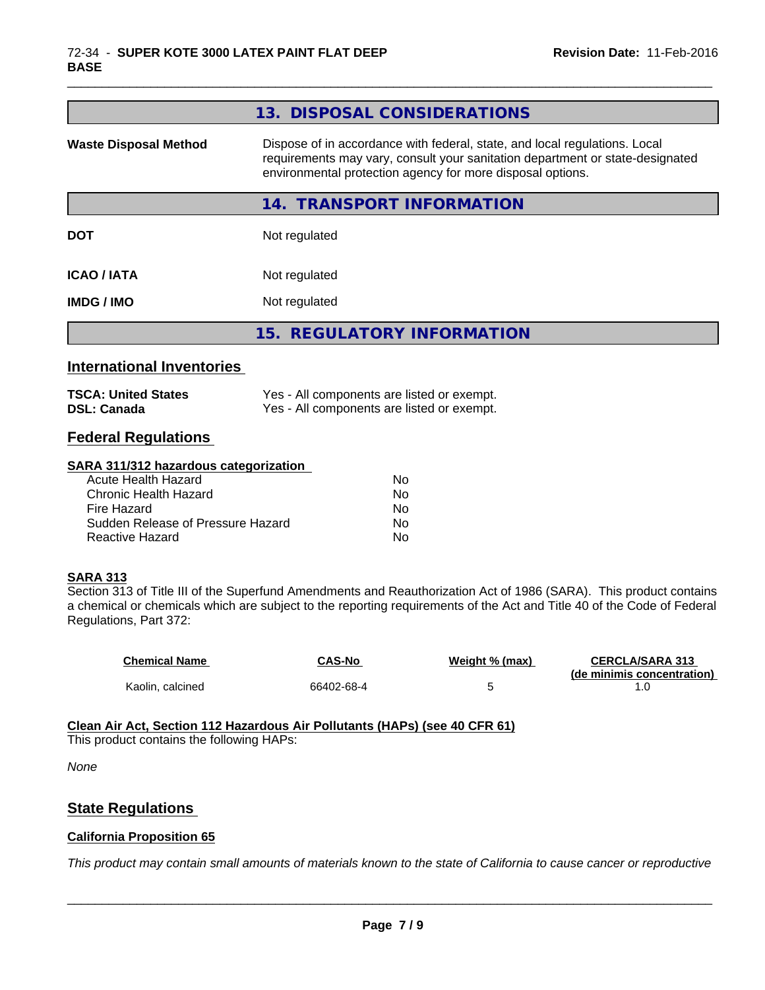| 13. DISPOSAL CONSIDERATIONS                                                                                                                                                                                               |
|---------------------------------------------------------------------------------------------------------------------------------------------------------------------------------------------------------------------------|
| Dispose of in accordance with federal, state, and local regulations. Local<br>requirements may vary, consult your sanitation department or state-designated<br>environmental protection agency for more disposal options. |
| 14. TRANSPORT INFORMATION                                                                                                                                                                                                 |
| Not regulated                                                                                                                                                                                                             |
| Not regulated                                                                                                                                                                                                             |
| Not regulated                                                                                                                                                                                                             |
| 15. REGULATORY INFORMATION                                                                                                                                                                                                |
|                                                                                                                                                                                                                           |
| Yes - All components are listed or exempt.<br>Yes - All components are listed or exempt.                                                                                                                                  |
|                                                                                                                                                                                                                           |
|                                                                                                                                                                                                                           |

\_\_\_\_\_\_\_\_\_\_\_\_\_\_\_\_\_\_\_\_\_\_\_\_\_\_\_\_\_\_\_\_\_\_\_\_\_\_\_\_\_\_\_\_\_\_\_\_\_\_\_\_\_\_\_\_\_\_\_\_\_\_\_\_\_\_\_\_\_\_\_\_\_\_\_\_\_\_\_\_\_\_\_\_\_\_\_\_\_\_\_\_\_

#### **SARA 311/312 hazardous categorization**

| Acute Health Hazard               | Nο |
|-----------------------------------|----|
| Chronic Health Hazard             | No |
| Fire Hazard                       | N٥ |
| Sudden Release of Pressure Hazard | Nο |
| Reactive Hazard                   | N٥ |

## **SARA 313**

Section 313 of Title III of the Superfund Amendments and Reauthorization Act of 1986 (SARA). This product contains a chemical or chemicals which are subject to the reporting requirements of the Act and Title 40 of the Code of Federal Regulations, Part 372:

| <b>Chemical Name</b> | CAS-No     | Weight % (max) | <b>CERCLA/SARA 313</b>     |
|----------------------|------------|----------------|----------------------------|
|                      |            |                | (de minimis concentration) |
| Kaolin, calcined     | 66402-68-4 |                |                            |

#### **Clean Air Act,Section 112 Hazardous Air Pollutants (HAPs) (see 40 CFR 61)**

This product contains the following HAPs:

*None*

## **State Regulations**

#### **California Proposition 65**

This product may contain small amounts of materials known to the state of California to cause cancer or reproductive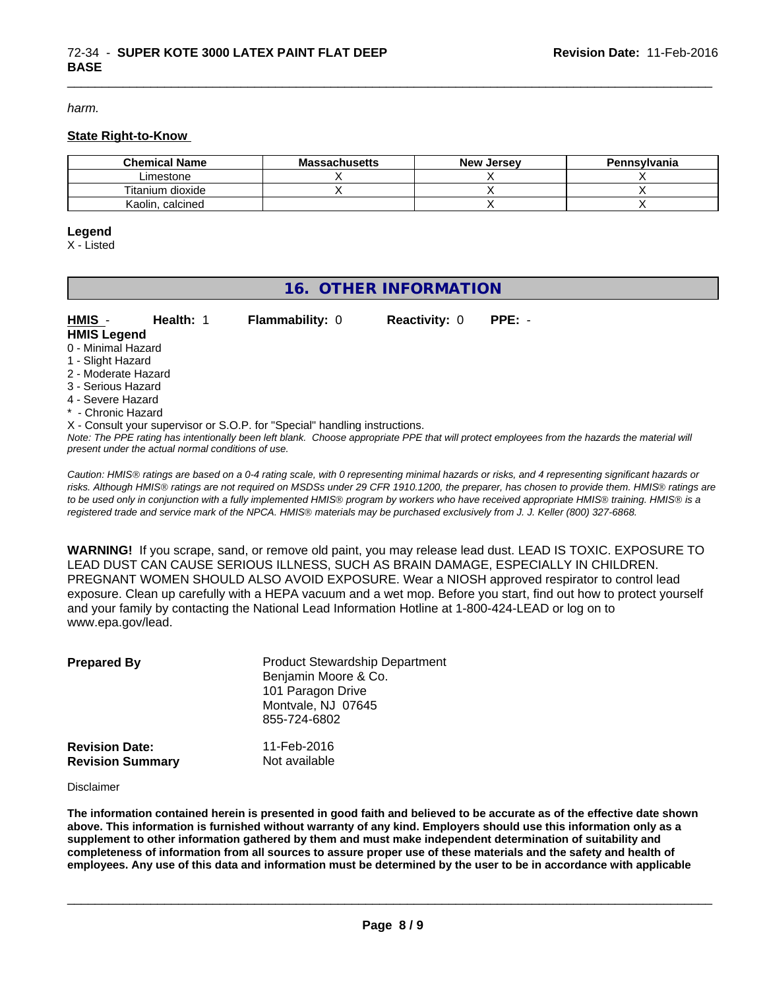*harm.*

#### **State Right-to-Know**

| <b>Chemical Name</b> | <b>Massachusetts</b> | . Jersev<br>New | Pennsylvania |
|----------------------|----------------------|-----------------|--------------|
| _imestone            |                      |                 |              |
| Titanium dioxide     |                      |                 |              |
| Kaolin, calcined     |                      |                 |              |

\_\_\_\_\_\_\_\_\_\_\_\_\_\_\_\_\_\_\_\_\_\_\_\_\_\_\_\_\_\_\_\_\_\_\_\_\_\_\_\_\_\_\_\_\_\_\_\_\_\_\_\_\_\_\_\_\_\_\_\_\_\_\_\_\_\_\_\_\_\_\_\_\_\_\_\_\_\_\_\_\_\_\_\_\_\_\_\_\_\_\_\_\_

#### **Legend**

X - Listed

## **16. OTHER INFORMATION**

| HMIS -              | <b>Health: 1</b> | <b>Flammability: 0</b>                                                     | <b>Reactivity: 0</b> | $PPE: -$ |
|---------------------|------------------|----------------------------------------------------------------------------|----------------------|----------|
| <b>HMIS Legend</b>  |                  |                                                                            |                      |          |
| 0 - Minimal Hazard  |                  |                                                                            |                      |          |
| 1 - Slight Hazard   |                  |                                                                            |                      |          |
| 2 - Moderate Hazard |                  |                                                                            |                      |          |
| 3 - Serious Hazard  |                  |                                                                            |                      |          |
| 4 - Severe Hazard   |                  |                                                                            |                      |          |
| * - Chronic Hazard  |                  |                                                                            |                      |          |
|                     |                  | X - Consult your supervisor or S.O.P. for "Special" handling instructions. |                      |          |

*Note: The PPE rating has intentionally been left blank. Choose appropriate PPE that will protect employees from the hazards the material will present under the actual normal conditions of use.*

*Caution: HMISÒ ratings are based on a 0-4 rating scale, with 0 representing minimal hazards or risks, and 4 representing significant hazards or risks. Although HMISÒ ratings are not required on MSDSs under 29 CFR 1910.1200, the preparer, has chosen to provide them. HMISÒ ratings are to be used only in conjunction with a fully implemented HMISÒ program by workers who have received appropriate HMISÒ training. HMISÒ is a registered trade and service mark of the NPCA. HMISÒ materials may be purchased exclusively from J. J. Keller (800) 327-6868.*

**WARNING!** If you scrape, sand, or remove old paint, you may release lead dust. LEAD IS TOXIC. EXPOSURE TO LEAD DUST CAN CAUSE SERIOUS ILLNESS, SUCH AS BRAIN DAMAGE, ESPECIALLY IN CHILDREN. PREGNANT WOMEN SHOULD ALSO AVOID EXPOSURE.Wear a NIOSH approved respirator to control lead exposure. Clean up carefully with a HEPA vacuum and a wet mop. Before you start, find out how to protect yourself and your family by contacting the National Lead Information Hotline at 1-800-424-LEAD or log on to www.epa.gov/lead.

| <b>Prepared By</b>                               | <b>Product Stewardship Department</b><br>Benjamin Moore & Co.<br>101 Paragon Drive<br>Montvale, NJ 07645<br>855-724-6802 |  |
|--------------------------------------------------|--------------------------------------------------------------------------------------------------------------------------|--|
| <b>Revision Date:</b><br><b>Revision Summary</b> | 11-Feb-2016<br>Not available                                                                                             |  |

Disclaimer

The information contained herein is presented in good faith and believed to be accurate as of the effective date shown above. This information is furnished without warranty of any kind. Employers should use this information only as a **supplement to other information gathered by them and must make independent determination of suitability and** completeness of information from all sources to assure proper use of these materials and the safety and health of employees. Any use of this data and information must be determined by the user to be in accordance with applicable